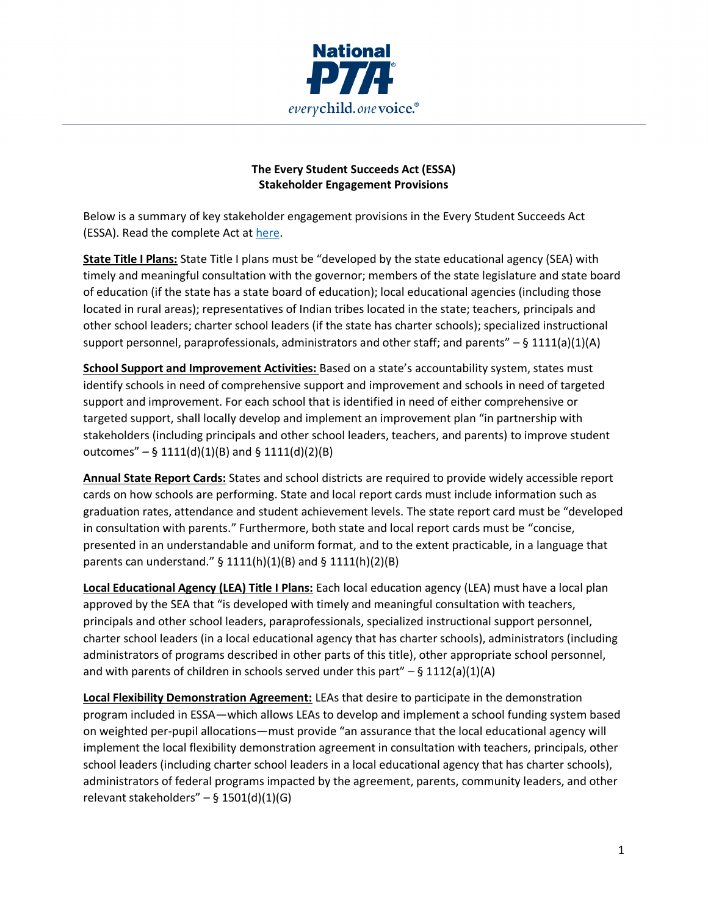

## **The Every Student Succeeds Act (ESSA) Stakeholder Engagement Provisions**

Below is a summary of key stakeholder engagement provisions in the Every Student Succeeds Act (ESSA). Read the complete Act at [here.](http://legcounsel.house.gov/Comps/Elementary%20And%20Secondary%20Education%20Act%20Of%201965.pdf)

**State Title I Plans:** State Title I plans must be "developed by the state educational agency (SEA) with timely and meaningful consultation with the governor; members of the state legislature and state board of education (if the state has a state board of education); local educational agencies (including those located in rural areas); representatives of Indian tribes located in the state; teachers, principals and other school leaders; charter school leaders (if the state has charter schools); specialized instructional support personnel, paraprofessionals, administrators and other staff; and parents" *–* § 1111(a)(1)(A)

**School Support and Improvement Activities:** Based on a state's accountability system, states must identify schools in need of comprehensive support and improvement and schools in need of targeted support and improvement. For each school that is identified in need of either comprehensive or targeted support, shall locally develop and implement an improvement plan "in partnership with stakeholders (including principals and other school leaders, teachers, and parents) to improve student outcomes" *–* § 1111(d)(1)(B) and § 1111(d)(2)(B)

**Annual State Report Cards:** States and school districts are required to provide widely accessible report cards on how schools are performing. State and local report cards must include information such as graduation rates, attendance and student achievement levels. The state report card must be "developed in consultation with parents." Furthermore, both state and local report cards must be "concise, presented in an understandable and uniform format, and to the extent practicable, in a language that parents can understand." § 1111(h)(1)(B) and § 1111(h)(2)(B)

**Local Educational Agency (LEA) Title I Plans:** Each local education agency (LEA) must have a local plan approved by the SEA that "is developed with timely and meaningful consultation with teachers, principals and other school leaders, paraprofessionals, specialized instructional support personnel, charter school leaders (in a local educational agency that has charter schools), administrators (including administrators of programs described in other parts of this title), other appropriate school personnel, and with parents of children in schools served under this part" *–* § 1112(a)(1)(A)

**Local Flexibility Demonstration Agreement:** LEAs that desire to participate in the demonstration program included in ESSA—which allows LEAs to develop and implement a school funding system based on weighted per-pupil allocations—must provide "an assurance that the local educational agency will implement the local flexibility demonstration agreement in consultation with teachers, principals, other school leaders (including charter school leaders in a local educational agency that has charter schools), administrators of federal programs impacted by the agreement, parents, community leaders, and other relevant stakeholders" *–* § 1501(d)(1)(G)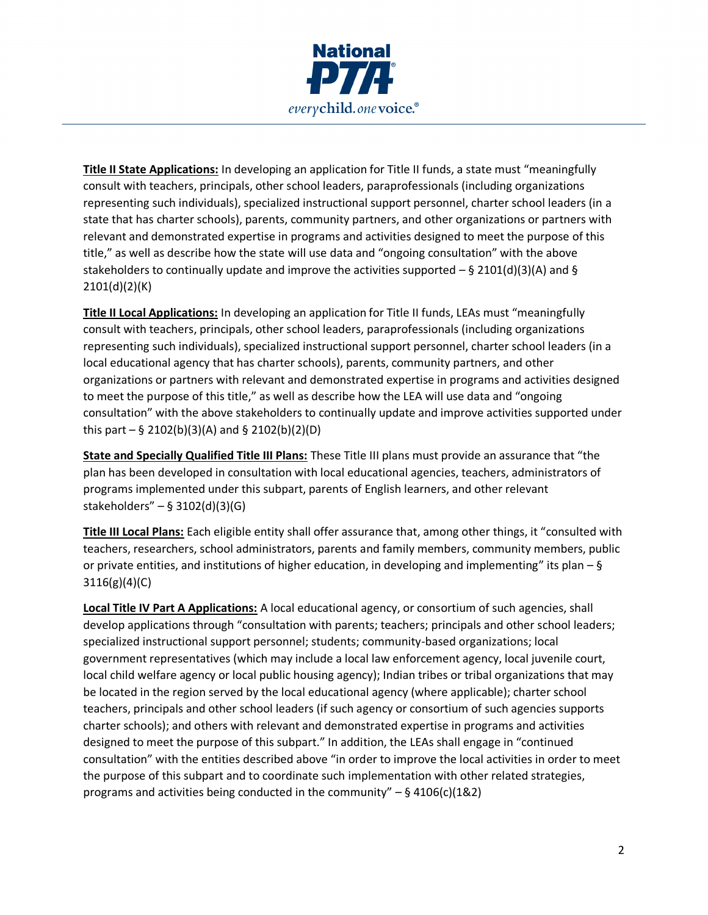

**Title II State Applications:** In developing an application for Title II funds, a state must "meaningfully consult with teachers, principals, other school leaders, paraprofessionals (including organizations representing such individuals), specialized instructional support personnel, charter school leaders (in a state that has charter schools), parents, community partners, and other organizations or partners with relevant and demonstrated expertise in programs and activities designed to meet the purpose of this title," as well as describe how the state will use data and "ongoing consultation" with the above stakeholders to continually update and improve the activities supported *–* § 2101(d)(3)(A) and § 2101(d)(2)(K)

**Title II Local Applications:** In developing an application for Title II funds, LEAs must "meaningfully consult with teachers, principals, other school leaders, paraprofessionals (including organizations representing such individuals), specialized instructional support personnel, charter school leaders (in a local educational agency that has charter schools), parents, community partners, and other organizations or partners with relevant and demonstrated expertise in programs and activities designed to meet the purpose of this title," as well as describe how the LEA will use data and "ongoing consultation" with the above stakeholders to continually update and improve activities supported under this part *–* § 2102(b)(3)(A) and § 2102(b)(2)(D)

**State and Specially Qualified Title III Plans:** These Title III plans must provide an assurance that "the plan has been developed in consultation with local educational agencies, teachers, administrators of programs implemented under this subpart, parents of English learners, and other relevant stakeholders" *–* § 3102(d)(3)(G)

**Title III Local Plans:** Each eligible entity shall offer assurance that, among other things, it "consulted with teachers, researchers, school administrators, parents and family members, community members, public or private entities, and institutions of higher education, in developing and implementing" its plan  $-$  § 3116(g)(4)(C)

**Local Title IV Part A Applications:** A local educational agency, or consortium of such agencies, shall develop applications through "consultation with parents; teachers; principals and other school leaders; specialized instructional support personnel; students; community-based organizations; local government representatives (which may include a local law enforcement agency, local juvenile court, local child welfare agency or local public housing agency); Indian tribes or tribal organizations that may be located in the region served by the local educational agency (where applicable); charter school teachers, principals and other school leaders (if such agency or consortium of such agencies supports charter schools); and others with relevant and demonstrated expertise in programs and activities designed to meet the purpose of this subpart." In addition, the LEAs shall engage in "continued consultation" with the entities described above "in order to improve the local activities in order to meet the purpose of this subpart and to coordinate such implementation with other related strategies, programs and activities being conducted in the community" *–* § 4106(c)(1&2)